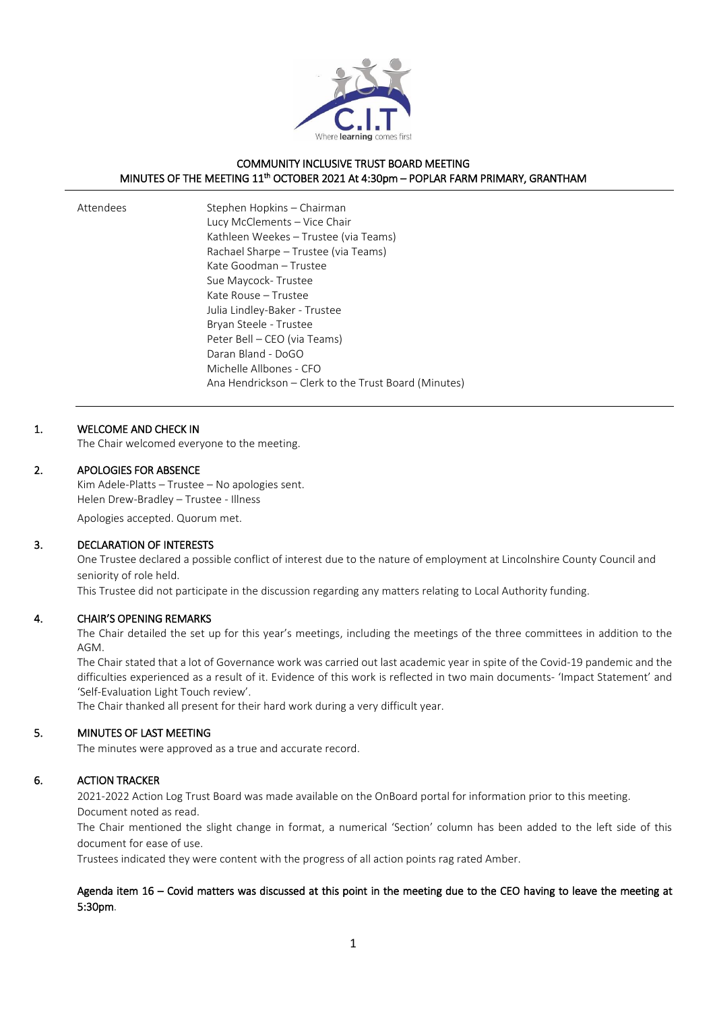

# COMMUNITY INCLUSIVE TRUST BOARD MEETING MINUTES OF THE MEETING 11<sup>th</sup> OCTOBER 2021 At 4:30pm - POPLAR FARM PRIMARY, GRANTHAM

| Stephen Hopkins – Chairman                           |
|------------------------------------------------------|
| Lucy McClements - Vice Chair                         |
| Kathleen Weekes – Trustee (via Teams)                |
| Rachael Sharpe – Trustee (via Teams)                 |
| Kate Goodman – Trustee                               |
| Sue Maycock-Trustee                                  |
| Kate Rouse – Trustee                                 |
| Julia Lindley-Baker - Trustee                        |
| Bryan Steele - Trustee                               |
| Peter Bell - CEO (via Teams)                         |
| Daran Bland - DoGO                                   |
| Michelle Allbones - CFO                              |
| Ana Hendrickson – Clerk to the Trust Board (Minutes) |

#### 1. WELCOME AND CHECK IN

Attendees

The Chair welcomed everyone to the meeting.

#### 2. APOLOGIES FOR ABSENCE

Kim Adele-Platts – Trustee – No apologies sent. Helen Drew-Bradley – Trustee - Illness

Apologies accepted. Quorum met.

# 3. DECLARATION OF INTERESTS

One Trustee declared a possible conflict of interest due to the nature of employment at Lincolnshire County Council and seniority of role held.

This Trustee did not participate in the discussion regarding any matters relating to Local Authority funding.

#### 4. CHAIR'S OPENING REMARKS

The Chair detailed the set up for this year's meetings, including the meetings of the three committees in addition to the AGM.

The Chair stated that a lot of Governance work was carried out last academic year in spite of the Covid-19 pandemic and the difficulties experienced as a result of it. Evidence of this work is reflected in two main documents- 'Impact Statement' and 'Self-Evaluation Light Touch review'.

The Chair thanked all present for their hard work during a very difficult year.

#### 5. MINUTES OF LAST MEETING

The minutes were approved as a true and accurate record.

#### 6. ACTION TRACKER

2021-2022 Action Log Trust Board was made available on the OnBoard portal for information prior to this meeting. Document noted as read.

The Chair mentioned the slight change in format, a numerical 'Section' column has been added to the left side of this document for ease of use.

Trustees indicated they were content with the progress of all action points rag rated Amber.

#### Agenda item 16 – Covid matters was discussed at this point in the meeting due to the CEO having to leave the meeting at 5:30pm.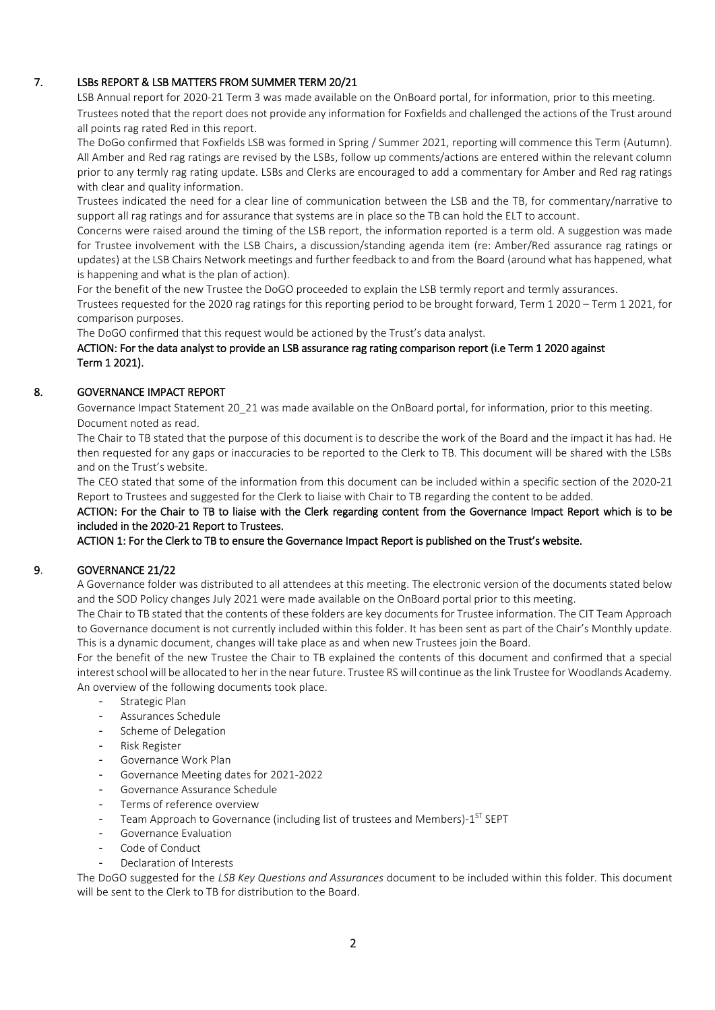# 7. LSBs REPORT & LSB MATTERS FROM SUMMER TERM 20/21

LSB Annual report for 2020-21 Term 3 was made available on the OnBoard portal, for information, prior to this meeting. Trustees noted that the report does not provide any information for Foxfields and challenged the actions of the Trust around all points rag rated Red in this report.

The DoGo confirmed that Foxfields LSB was formed in Spring / Summer 2021, reporting will commence this Term (Autumn). All Amber and Red rag ratings are revised by the LSBs, follow up comments/actions are entered within the relevant column prior to any termly rag rating update. LSBs and Clerks are encouraged to add a commentary for Amber and Red rag ratings with clear and quality information.

Trustees indicated the need for a clear line of communication between the LSB and the TB, for commentary/narrative to support all rag ratings and for assurance that systems are in place so the TB can hold the ELT to account.

Concerns were raised around the timing of the LSB report, the information reported is a term old. A suggestion was made for Trustee involvement with the LSB Chairs, a discussion/standing agenda item (re: Amber/Red assurance rag ratings or updates) at the LSB Chairs Network meetings and further feedback to and from the Board (around what has happened, what is happening and what is the plan of action).

For the benefit of the new Trustee the DoGO proceeded to explain the LSB termly report and termly assurances.

Trustees requested for the 2020 rag ratings for this reporting period to be brought forward, Term 1 2020 – Term 1 2021, for comparison purposes.

The DoGO confirmed that this request would be actioned by the Trust's data analyst.

# ACTION: For the data analyst to provide an LSB assurance rag rating comparison report (i.e Term 1 2020 against Term 1 2021).

# 8. GOVERNANCE IMPACT REPORT

 Governance Impact Statement 20\_21 was made available on the OnBoard portal, for information, prior to this meeting. Document noted as read.

The Chair to TB stated that the purpose of this document is to describe the work of the Board and the impact it has had. He then requested for any gaps or inaccuracies to be reported to the Clerk to TB. This document will be shared with the LSBs and on the Trust's website.

The CEO stated that some of the information from this document can be included within a specific section of the 2020-21 Report to Trustees and suggested for the Clerk to liaise with Chair to TB regarding the content to be added.

ACTION: For the Chair to TB to liaise with the Clerk regarding content from the Governance Impact Report which is to be included in the 2020-21 Report to Trustees.

ACTION 1: For the Clerk to TB to ensure the Governance Impact Report is published on the Trust's website.

# 9. GOVERNANCE 21/22

A Governance folder was distributed to all attendees at this meeting. The electronic version of the documents stated below and the SOD Policy changes July 2021 were made available on the OnBoard portal prior to this meeting.

The Chair to TB stated that the contents of these folders are key documents for Trustee information. The CIT Team Approach to Governance document is not currently included within this folder. It has been sent as part of the Chair's Monthly update. This is a dynamic document, changes will take place as and when new Trustees join the Board.

For the benefit of the new Trustee the Chair to TB explained the contents of this document and confirmed that a special interest school will be allocated to her in the near future. Trustee RS will continue as the link Trustee for Woodlands Academy. An overview of the following documents took place.

- Strategic Plan
- Assurances Schedule
- Scheme of Delegation
- Risk Register
- Governance Work Plan
- Governance Meeting dates for 2021-2022
- Governance Assurance Schedule
- Terms of reference overview
- Team Approach to Governance (including list of trustees and Members)-1<sup>ST</sup> SEPT
- Governance Evaluation
- Code of Conduct
- Declaration of Interests

The DoGO suggested for the *LSB Key Questions and Assurances* document to be included within this folder. This document will be sent to the Clerk to TB for distribution to the Board.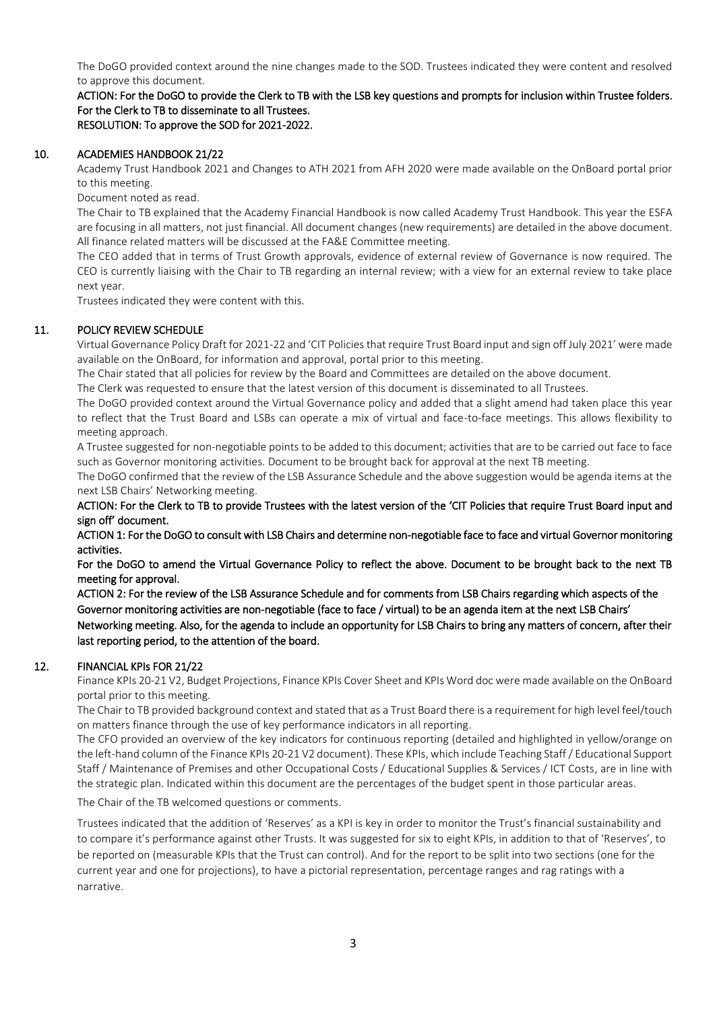The DoGO provided context around the nine changes made to the SOD. Trustees indicated they were content and resolved to approve this document.

ACTION: For the DoGO to provide the Clerk to TB with the LSB key questions and prompts for inclusion within Trustee folders. For the Clerk to TB to disseminate to all Trustees. RESOLUTION: To approve the SOD for 2021-2022.

#### 10. ACADEMIES HANDBOOK 21/22

Academy Trust Handbook 2021 and Changes to ATH 2021 from AFH 2020 were made available on the OnBoard portal prior to this meeting.

Document noted as read.

The Chair to TB explained that the Academy Financial Handbook is now called Academy Trust Handbook. This year the ESFA are focusing in all matters, not just financial. All document changes (new requirements) are detailed in the above document. All finance related matters will be discussed at the FA&E Committee meeting.

The CEO added that in terms of Trust Growth approvals, evidence of external review of Governance is now required. The CEO is currently liaising with the Chair to TB regarding an internal review; with a view for an external review to take place next year.

Trustees indicated they were content with this.

# 11. POLICY REVIEW SCHEDULE

Virtual Governance Policy Draft for 2021-22 and 'CIT Policies that require Trust Board input and sign off July 2021' were made available on the OnBoard, for information and approval, portal prior to this meeting.

The Chair stated that all policies for review by the Board and Committees are detailed on the above document.

The Clerk was requested to ensure that the latest version of this document is disseminated to all Trustees.

The DoGO provided context around the Virtual Governance policy and added that a slight amend had taken place this year to reflect that the Trust Board and LSBs can operate a mix of virtual and face-to-face meetings. This allows flexibility to meeting approach.

A Trustee suggested for non-negotiable points to be added to this document; activities that are to be carried out face to face such as Governor monitoring activities. Document to be brought back for approval at the next TB meeting.

The DoGO confirmed that the review of the LSB Assurance Schedule and the above suggestion would be agenda items at the next LSB Chairs' Networking meeting.

ACTION: For the Clerk to TB to provide Trustees with the latest version of the 'CIT Policies that require Trust Board input and sign off' document.

ACTION 1: For the DoGO to consult with LSB Chairs and determine non-negotiable face to face and virtual Governor monitoring activities.

For the DoGO to amend the Virtual Governance Policy to reflect the above. Document to be brought back to the next TB meeting for approval.

ACTION 2: For the review of the LSB Assurance Schedule and for comments from LSB Chairs regarding which aspects of the Governor monitoring activities are non-negotiable (face to face / virtual) to be an agenda item at the next LSB Chairs' Networking meeting. Also, for the agenda to include an opportunity for LSB Chairs to bring any matters of concern, after their last reporting period, to the attention of the board.

# 12. FINANCIAL KPIs FOR 21/22

Finance KPIs 20-21 V2, Budget Projections, Finance KPIs Cover Sheet and KPIs Word doc were made available on the OnBoard portal prior to this meeting.

The Chair to TB provided background context and stated that as a Trust Board there is a requirement for high level feel/touch on matters finance through the use of key performance indicators in all reporting.

The CFO provided an overview of the key indicators for continuous reporting (detailed and highlighted in yellow/orange on the left-hand column of the Finance KPIs 20-21 V2 document). These KPIs, which include Teaching Staff / Educational Support Staff / Maintenance of Premises and other Occupational Costs / Educational Supplies & Services / ICT Costs, are in line with the strategic plan. Indicated within this document are the percentages of the budget spent in those particular areas.

The Chair of the TB welcomed questions or comments.

Trustees indicated that the addition of 'Reserves' as a KPI is key in order to monitor the Trust's financial sustainability and to compare it's performance against other Trusts. It was suggested for six to eight KPIs, in addition to that of 'Reserves', to be reported on (measurable KPIs that the Trust can control). And for the report to be split into two sections (one for the current year and one for projections), to have a pictorial representation, percentage ranges and rag ratings with a narrative.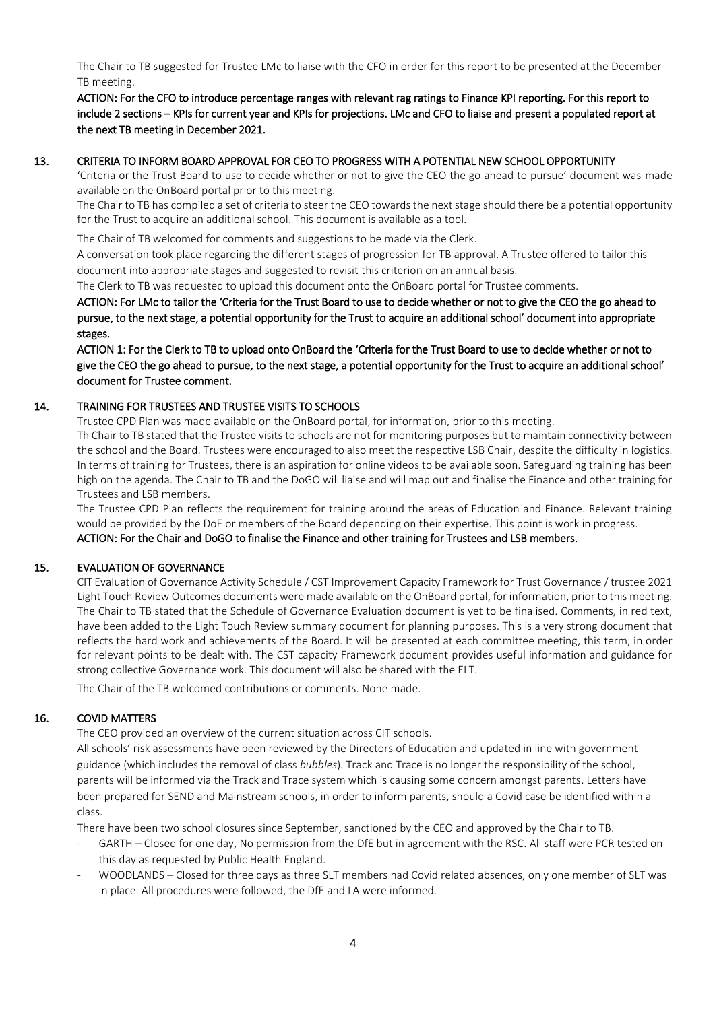The Chair to TB suggested for Trustee LMc to liaise with the CFO in order for this report to be presented at the December TB meeting.

ACTION: For the CFO to introduce percentage ranges with relevant rag ratings to Finance KPI reporting. For this report to include 2 sections – KPIs for current year and KPIs for projections. LMc and CFO to liaise and present a populated report at the next TB meeting in December 2021.

#### 13. CRITERIA TO INFORM BOARD APPROVAL FOR CEO TO PROGRESS WITH A POTENTIAL NEW SCHOOL OPPORTUNITY

'Criteria or the Trust Board to use to decide whether or not to give the CEO the go ahead to pursue' document was made available on the OnBoard portal prior to this meeting.

The Chair to TB has compiled a set of criteria to steer the CEO towards the next stage should there be a potential opportunity for the Trust to acquire an additional school. This document is available as a tool.

The Chair of TB welcomed for comments and suggestions to be made via the Clerk.

A conversation took place regarding the different stages of progression for TB approval. A Trustee offered to tailor this document into appropriate stages and suggested to revisit this criterion on an annual basis.

The Clerk to TB was requested to upload this document onto the OnBoard portal for Trustee comments.

ACTION: For LMc to tailor the 'Criteria for the Trust Board to use to decide whether or not to give the CEO the go ahead to pursue, to the next stage, a potential opportunity for the Trust to acquire an additional school' document into appropriate stages.

ACTION 1: For the Clerk to TB to upload onto OnBoard the 'Criteria for the Trust Board to use to decide whether or not to give the CEO the go ahead to pursue, to the next stage, a potential opportunity for the Trust to acquire an additional school' document for Trustee comment.

#### 14. TRAINING FOR TRUSTEES AND TRUSTEE VISITS TO SCHOOLS

Trustee CPD Plan was made available on the OnBoard portal, for information, prior to this meeting.

Th Chair to TB stated that the Trustee visits to schools are not for monitoring purposes but to maintain connectivity between the school and the Board. Trustees were encouraged to also meet the respective LSB Chair, despite the difficulty in logistics. In terms of training for Trustees, there is an aspiration for online videos to be available soon. Safeguarding training has been high on the agenda. The Chair to TB and the DoGO will liaise and will map out and finalise the Finance and other training for Trustees and LSB members.

The Trustee CPD Plan reflects the requirement for training around the areas of Education and Finance. Relevant training would be provided by the DoE or members of the Board depending on their expertise. This point is work in progress. ACTION: For the Chair and DoGO to finalise the Finance and other training for Trustees and LSB members.

# 15. EVALUATION OF GOVERNANCE

CIT Evaluation of Governance Activity Schedule / CST Improvement Capacity Framework for Trust Governance / trustee 2021 Light Touch Review Outcomes documents were made available on the OnBoard portal, for information, prior to this meeting. The Chair to TB stated that the Schedule of Governance Evaluation document is yet to be finalised. Comments, in red text, have been added to the Light Touch Review summary document for planning purposes. This is a very strong document that reflects the hard work and achievements of the Board. It will be presented at each committee meeting, this term, in order for relevant points to be dealt with. The CST capacity Framework document provides useful information and guidance for strong collective Governance work. This document will also be shared with the ELT.

The Chair of the TB welcomed contributions or comments. None made.

# 16. COVID MATTERS

The CEO provided an overview of the current situation across CIT schools.

All schools' risk assessments have been reviewed by the Directors of Education and updated in line with government guidance (which includes the removal of class *bubbles*)*.* Track and Trace is no longer the responsibility of the school, parents will be informed via the Track and Trace system which is causing some concern amongst parents. Letters have been prepared for SEND and Mainstream schools, in order to inform parents, should a Covid case be identified within a class.

There have been two school closures since September, sanctioned by the CEO and approved by the Chair to TB.

- GARTH Closed for one day, No permission from the DfE but in agreement with the RSC. All staff were PCR tested on this day as requested by Public Health England.
- WOODLANDS Closed for three days as three SLT members had Covid related absences, only one member of SLT was in place. All procedures were followed, the DfE and LA were informed.